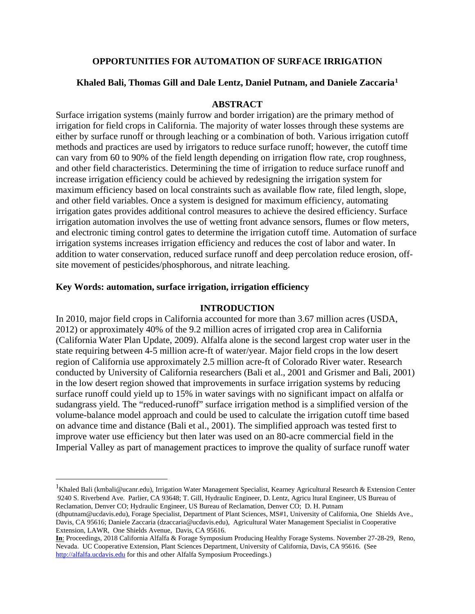# **OPPORTUNITIES FOR AUTOMATION OF SURFACE IRRIGATION**

## **Khaled Bali, Thomas Gill and Dale Lentz, Daniel Putnam, and Daniele Zaccaria[1](#page-0-0)**

### **ABSTRACT**

Surface irrigation systems (mainly furrow and border irrigation) are the primary method of irrigation for field crops in California. The majority of water losses through these systems are either by surface runoff or through leaching or a combination of both. Various irrigation cutoff methods and practices are used by irrigators to reduce surface runoff; however, the cutoff time can vary from 60 to 90% of the field length depending on irrigation flow rate, crop roughness, and other field characteristics. Determining the time of irrigation to reduce surface runoff and increase irrigation efficiency could be achieved by redesigning the irrigation system for maximum efficiency based on local constraints such as available flow rate, filed length, slope, and other field variables. Once a system is designed for maximum efficiency, automating irrigation gates provides additional control measures to achieve the desired efficiency. Surface irrigation automation involves the use of wetting front advance sensors, flumes or flow meters, and electronic timing control gates to determine the irrigation cutoff time. Automation of surface irrigation systems increases irrigation efficiency and reduces the cost of labor and water. In addition to water conservation, reduced surface runoff and deep percolation reduce erosion, offsite movement of pesticides/phosphorous, and nitrate leaching.

## **Key Words: automation, surface irrigation, irrigation efficiency**

#### **INTRODUCTION**

In 2010, major field crops in California accounted for more than 3.67 million acres (USDA, 2012) or approximately 40% of the 9.2 million acres of irrigated crop area in California (California Water Plan Update, 2009). Alfalfa alone is the second largest crop water user in the state requiring between 4-5 million acre-ft of water/year. Major field crops in the low desert region of California use approximately 2.5 million acre-ft of Colorado River water. Research conducted by University of California researchers (Bali et al., 2001 and Grismer and Bali, 2001) in the low desert region showed that improvements in surface irrigation systems by reducing surface runoff could yield up to 15% in water savings with no significant impact on alfalfa or sudangrass yield. The "reduced-runoff" surface irrigation method is a simplified version of the volume-balance model approach and could be used to calculate the irrigation cutoff time based on advance time and distance (Bali et al., 2001). The simplified approach was tested first to improve water use efficiency but then later was used on an 80-acre commercial field in the Imperial Valley as part of management practices to improve the quality of surface runoff water

<span id="page-0-0"></span><sup>|&</sup>lt;br>|<br>| <sup>1</sup>Khaled Bali (kmbali@ucanr.edu), Irrigation Water Management Specialist, Kearney Agricultural Research & Extension Center 9240 S. Riverbend Ave. Parlier, CA 93648; T. Gill, Hydraulic Engineer, D. Lentz, Agricu ltural Engineer, US Bureau of Reclamation, Denver CO; Hydraulic Engineer, US Bureau of Reclamation, Denver CO; D. H. Putnam

<sup>(</sup>dhputnam@ucdavis.edu), Forage Specialist, Department of Plant Sciences, MS#1, University of California, One Shields Ave., Davis, CA 95616; Daniele Zaccaria (dzaccaria@ucdavis.edu), Agricultural Water Management Specialist in Cooperative Extension, LAWR, One Shields Avenue, Davis, CA 95616.

**In**: Proceedings, 2018 California Alfalfa & Forage Symposium Producing Healthy Forage Systems. November 27-28-29, Reno, Nevada. UC Cooperative Extension, Plant Sciences Department, University of California, Davis, CA 95616. (See [http://alfalfa.ucdavis.edu](http://alfalfa.ucdavis.edu/) for this and other Alfalfa Symposium Proceedings.)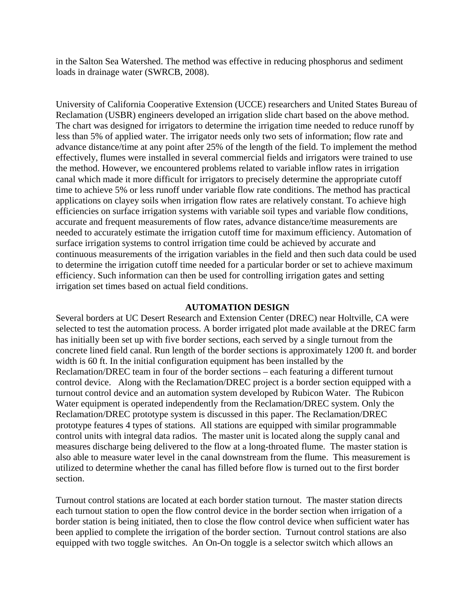in the Salton Sea Watershed. The method was effective in reducing phosphorus and sediment loads in drainage water (SWRCB, 2008).

University of California Cooperative Extension (UCCE) researchers and United States Bureau of Reclamation (USBR) engineers developed an irrigation slide chart based on the above method. The chart was designed for irrigators to determine the irrigation time needed to reduce runoff by less than 5% of applied water. The irrigator needs only two sets of information; flow rate and advance distance/time at any point after 25% of the length of the field. To implement the method effectively, flumes were installed in several commercial fields and irrigators were trained to use the method. However, we encountered problems related to variable inflow rates in irrigation canal which made it more difficult for irrigators to precisely determine the appropriate cutoff time to achieve 5% or less runoff under variable flow rate conditions. The method has practical applications on clayey soils when irrigation flow rates are relatively constant. To achieve high efficiencies on surface irrigation systems with variable soil types and variable flow conditions, accurate and frequent measurements of flow rates, advance distance/time measurements are needed to accurately estimate the irrigation cutoff time for maximum efficiency. Automation of surface irrigation systems to control irrigation time could be achieved by accurate and continuous measurements of the irrigation variables in the field and then such data could be used to determine the irrigation cutoff time needed for a particular border or set to achieve maximum efficiency. Such information can then be used for controlling irrigation gates and setting irrigation set times based on actual field conditions.

#### **AUTOMATION DESIGN**

Several borders at UC Desert Research and Extension Center (DREC) near Holtville, CA were selected to test the automation process. A border irrigated plot made available at the DREC farm has initially been set up with five border sections, each served by a single turnout from the concrete lined field canal. Run length of the border sections is approximately 1200 ft. and border width is 60 ft. In the initial configuration equipment has been installed by the Reclamation/DREC team in four of the border sections – each featuring a different turnout control device. Along with the Reclamation/DREC project is a border section equipped with a turnout control device and an automation system developed by Rubicon Water. The Rubicon Water equipment is operated independently from the Reclamation/DREC system. Only the Reclamation/DREC prototype system is discussed in this paper. The Reclamation/DREC prototype features 4 types of stations. All stations are equipped with similar programmable control units with integral data radios. The master unit is located along the supply canal and measures discharge being delivered to the flow at a long-throated flume. The master station is also able to measure water level in the canal downstream from the flume. This measurement is utilized to determine whether the canal has filled before flow is turned out to the first border section.

Turnout control stations are located at each border station turnout. The master station directs each turnout station to open the flow control device in the border section when irrigation of a border station is being initiated, then to close the flow control device when sufficient water has been applied to complete the irrigation of the border section. Turnout control stations are also equipped with two toggle switches. An On-On toggle is a selector switch which allows an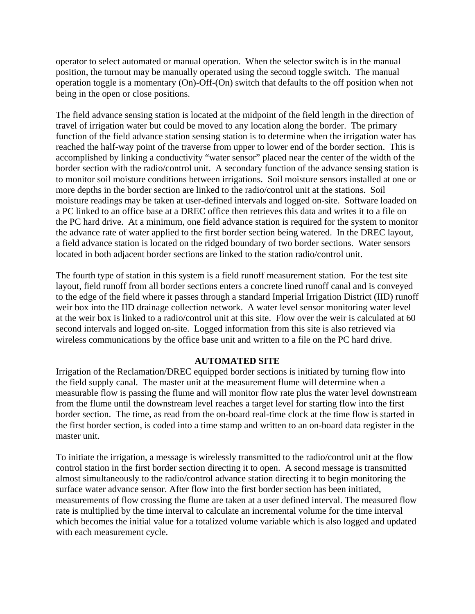operator to select automated or manual operation. When the selector switch is in the manual position, the turnout may be manually operated using the second toggle switch. The manual operation toggle is a momentary (On)-Off-(On) switch that defaults to the off position when not being in the open or close positions.

The field advance sensing station is located at the midpoint of the field length in the direction of travel of irrigation water but could be moved to any location along the border. The primary function of the field advance station sensing station is to determine when the irrigation water has reached the half-way point of the traverse from upper to lower end of the border section. This is accomplished by linking a conductivity "water sensor" placed near the center of the width of the border section with the radio/control unit. A secondary function of the advance sensing station is to monitor soil moisture conditions between irrigations. Soil moisture sensors installed at one or more depths in the border section are linked to the radio/control unit at the stations. Soil moisture readings may be taken at user-defined intervals and logged on-site. Software loaded on a PC linked to an office base at a DREC office then retrieves this data and writes it to a file on the PC hard drive. At a minimum, one field advance station is required for the system to monitor the advance rate of water applied to the first border section being watered. In the DREC layout, a field advance station is located on the ridged boundary of two border sections. Water sensors located in both adjacent border sections are linked to the station radio/control unit.

The fourth type of station in this system is a field runoff measurement station. For the test site layout, field runoff from all border sections enters a concrete lined runoff canal and is conveyed to the edge of the field where it passes through a standard Imperial Irrigation District (IID) runoff weir box into the IID drainage collection network. A water level sensor monitoring water level at the weir box is linked to a radio/control unit at this site. Flow over the weir is calculated at 60 second intervals and logged on-site. Logged information from this site is also retrieved via wireless communications by the office base unit and written to a file on the PC hard drive.

## **AUTOMATED SITE**

Irrigation of the Reclamation/DREC equipped border sections is initiated by turning flow into the field supply canal. The master unit at the measurement flume will determine when a measurable flow is passing the flume and will monitor flow rate plus the water level downstream from the flume until the downstream level reaches a target level for starting flow into the first border section. The time, as read from the on-board real-time clock at the time flow is started in the first border section, is coded into a time stamp and written to an on-board data register in the master unit.

To initiate the irrigation, a message is wirelessly transmitted to the radio/control unit at the flow control station in the first border section directing it to open. A second message is transmitted almost simultaneously to the radio/control advance station directing it to begin monitoring the surface water advance sensor. After flow into the first border section has been initiated, measurements of flow crossing the flume are taken at a user defined interval. The measured flow rate is multiplied by the time interval to calculate an incremental volume for the time interval which becomes the initial value for a totalized volume variable which is also logged and updated with each measurement cycle.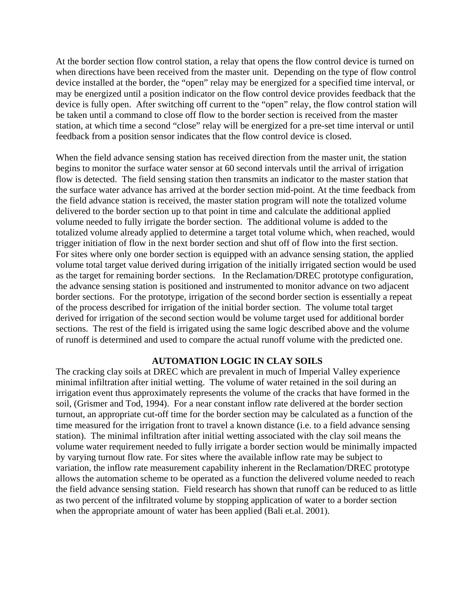At the border section flow control station, a relay that opens the flow control device is turned on when directions have been received from the master unit. Depending on the type of flow control device installed at the border, the "open" relay may be energized for a specified time interval, or may be energized until a position indicator on the flow control device provides feedback that the device is fully open. After switching off current to the "open" relay, the flow control station will be taken until a command to close off flow to the border section is received from the master station, at which time a second "close" relay will be energized for a pre-set time interval or until feedback from a position sensor indicates that the flow control device is closed.

When the field advance sensing station has received direction from the master unit, the station begins to monitor the surface water sensor at 60 second intervals until the arrival of irrigation flow is detected. The field sensing station then transmits an indicator to the master station that the surface water advance has arrived at the border section mid-point. At the time feedback from the field advance station is received, the master station program will note the totalized volume delivered to the border section up to that point in time and calculate the additional applied volume needed to fully irrigate the border section. The additional volume is added to the totalized volume already applied to determine a target total volume which, when reached, would trigger initiation of flow in the next border section and shut off of flow into the first section. For sites where only one border section is equipped with an advance sensing station, the applied volume total target value derived during irrigation of the initially irrigated section would be used as the target for remaining border sections. In the Reclamation/DREC prototype configuration, the advance sensing station is positioned and instrumented to monitor advance on two adjacent border sections. For the prototype, irrigation of the second border section is essentially a repeat of the process described for irrigation of the initial border section. The volume total target derived for irrigation of the second section would be volume target used for additional border sections. The rest of the field is irrigated using the same logic described above and the volume of runoff is determined and used to compare the actual runoff volume with the predicted one.

## **AUTOMATION LOGIC IN CLAY SOILS**

The cracking clay soils at DREC which are prevalent in much of Imperial Valley experience minimal infiltration after initial wetting. The volume of water retained in the soil during an irrigation event thus approximately represents the volume of the cracks that have formed in the soil, (Grismer and Tod, 1994). For a near constant inflow rate delivered at the border section turnout, an appropriate cut-off time for the border section may be calculated as a function of the time measured for the irrigation front to travel a known distance (i.e. to a field advance sensing station). The minimal infiltration after initial wetting associated with the clay soil means the volume water requirement needed to fully irrigate a border section would be minimally impacted by varying turnout flow rate. For sites where the available inflow rate may be subject to variation, the inflow rate measurement capability inherent in the Reclamation/DREC prototype allows the automation scheme to be operated as a function the delivered volume needed to reach the field advance sensing station. Field research has shown that runoff can be reduced to as little as two percent of the infiltrated volume by stopping application of water to a border section when the appropriate amount of water has been applied (Bali et.al. 2001).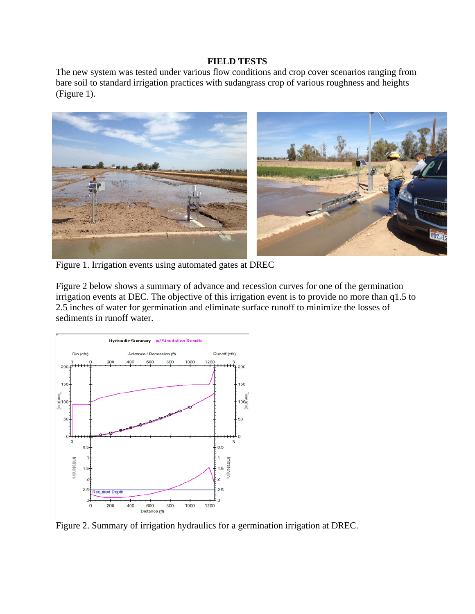#### **FIELD TESTS**

The new system was tested under various flow conditions and crop cover scenarios ranging from bare soil to standard irrigation practices with sudangrass crop of various roughness and heights (Figure 1).



Figure 1. Irrigation events using automated gates at DREC

Figure 2 below shows a summary of advance and recession curves for one of the germination irrigation events at DEC. The objective of this irrigation event is to provide no more than q1.5 to 2.5 inches of water for germination and eliminate surface runoff to minimize the losses of sediments in runoff water.



Figure 2. Summary of irrigation hydraulics for a germination irrigation at DREC.